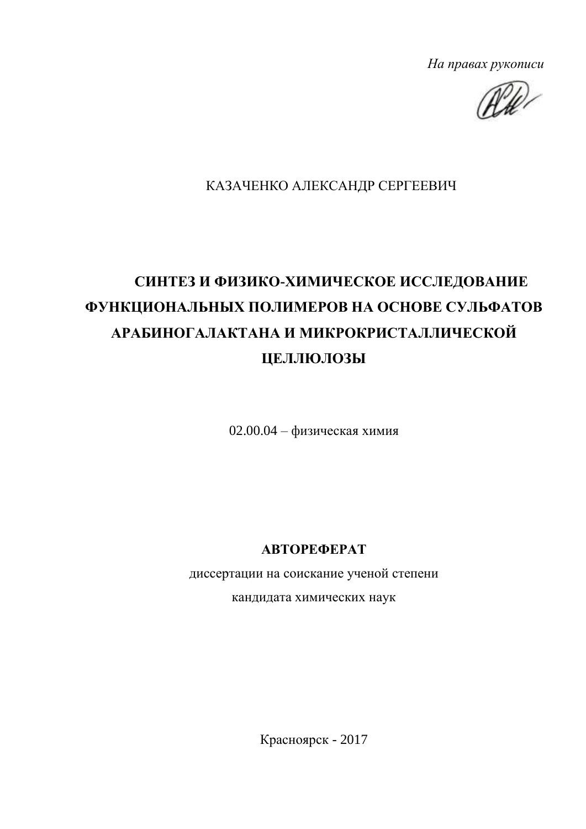На правах рукописи

AW

## КАЗАЧЕНКО АЛЕКСАНДР СЕРГЕЕВИЧ

# СИНТЕЗ И ФИЗИКО-ХИМИЧЕСКОЕ ИССЛЕДОВАНИЕ ФУНКЦИОНАЛЬНЫХ ПОЛИМЕРОВ НА ОСНОВЕ СУЛЬФАТОВ АРАБИНОГАЛАКТАНА И МИКРОКРИСТАЛЛИЧЕСКОЙ ЦЕЛЛЮЛОЗЫ

 $02.00.04 - \phi$ изическая химия

**АВТОРЕФЕРАТ** 

диссертации на соискание ученой степени

кандидата химических наук

Красноярск - 2017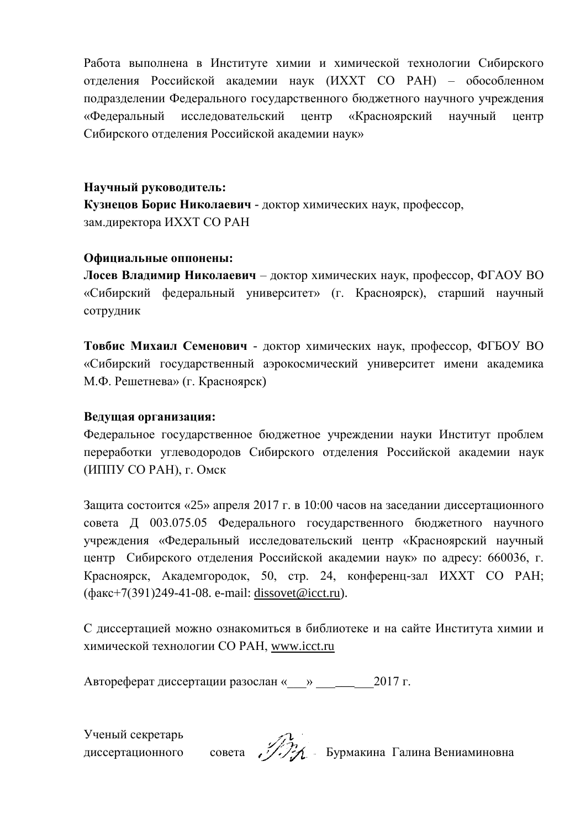Работа выполнена в Институте химии и химической технологии Сибирского отделения Российской академии наук (ИХХТ СО РАН) - обособленном подразделении Федерального государственного бюджетного научного учреждения «Фелеральный исследовательский центр «Красноярский научный пентр Сибирского отделения Российской академии наук»

## Научный руководитель:

Кузнецов Борис Николаевич - доктор химических наук, профессор, зам. директора ИХХТ СО РАН

## Официальные оппонены:

Лосев Владимир Николаевич - доктор химических наук, профессор, ФГАОУ ВО «Сибирский федеральный университет» (г. Красноярск), старший научный сотрудник

Товбис Михаил Семенович - доктор химических наук, профессор, ФГБОУ ВО «Сибирский государственный аэрокосмический университет имени академика М.Ф. Решетнева» (г. Красноярск)

## Ведущая организация:

Федеральное государственное бюджетное учреждении науки Институт проблем переработки углеводородов Сибирского отделения Российской академии наук (ИППУ СО РАН), г. Омск

Защита состоится «25» апреля 2017 г. в 10:00 часов на заседании диссертационного совета Д 003.075.05 Федерального государственного бюджетного научного учреждения «Федеральный исследовательский центр «Красноярский научный центр Сибирского отделения Российской академии наук» по адресу: 660036. г. Красноярск, Академгородок, 50, стр. 24, конференц-зал ИХХТ СО РАН;  $(\text{d}$ akc+7(391)249-41-08. e-mail: dissovet@icct.ru).

С диссертацией можно ознакомиться в библиотеке и на сайте Института химии и химической технологии CO PAH, www.icct.ru

Автореферат диссертации разослан « » 1017 г.

Ученый секретарь диссертационного

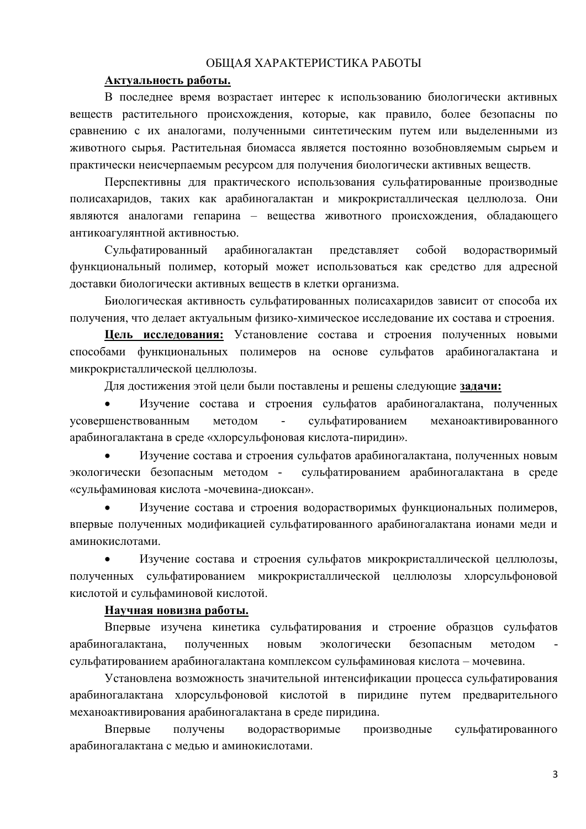#### ОБШАЯ ХАРАКТЕРИСТИКА РАБОТЫ

#### Актуальность работы.

В последнее время возрастает интерес к использованию биологически активных веществ растительного происхождения, которые, как правило, более безопасны по сравнению с их аналогами, полученными синтетическим путем или выделенными из животного сырья. Растительная биомасса является постоянно возобновляемым сырьем и практически неисчерпаемым ресурсом для получения биологически активных веществ.

Перспективны для практического использования сульфатированные производные полисахаридов, таких как арабиногалактан и микрокристаллическая целлюлоза. Они являются аналогами гепарина - вещества животного происхождения, обладающего антикоагулянтной активностью.

арабиногалактан собой Сульфатированный представляет водорастворимый функциональный полимер, который может использоваться как средство для адресной доставки биологически активных веществ в клетки организма.

Биологическая активность сульфатированных полисахаридов зависит от способа их получения, что делает актуальным физико-химическое исследование их состава и строения.

Цель исследования: Установление состава и строения полученных новыми способами функциональных полимеров на основе сульфатов арабиногалактана и микрокристаллической целлюлозы.

Для достижения этой цели были поставлены и решены следующие задачи:

 $\bullet$ Изучение состава и строения сульфатов арабиногалактана, полученных методом механоактивированного усовершенствованным сульфатированием арабиногалактана в среде «хлорсульфоновая кислота-пиридин».

Изучение состава и строения сульфатов арабиногалактана, полученных новым экологически безопасным методом сульфатированием арабиногалактана в среде «сульфаминовая кислота -мочевина-диоксан».

Изучение состава и строения водорастворимых функциональных полимеров, впервые полученных модификацией сульфатированного арабиногалактана ионами меди и аминокислотами.

 $\bullet$ Изучение состава и строения сульфатов микрокристаллической целлюлозы, полученных сульфатированием микрокристаллической целлюлозы хлорсульфоновой кислотой и сульфаминовой кислотой.

#### Научная новизна работы.

Впервые изучена кинетика сульфатирования и строение образцов сульфатов арабиногалактана. полученных новым экологически безопасным метолом сульфатированием арабиногалактана комплексом сульфаминовая кислота - мочевина.

Установлена возможность значительной интенсификации процесса сульфатирования арабиногалактана хлорсульфоновой кислотой в пиридине путем предварительного механоактивирования арабиногалактана в среде пиридина.

Впервые сульфатированного получены водорастворимые производные арабиногалактана с медью и аминокислотами.

 $\overline{3}$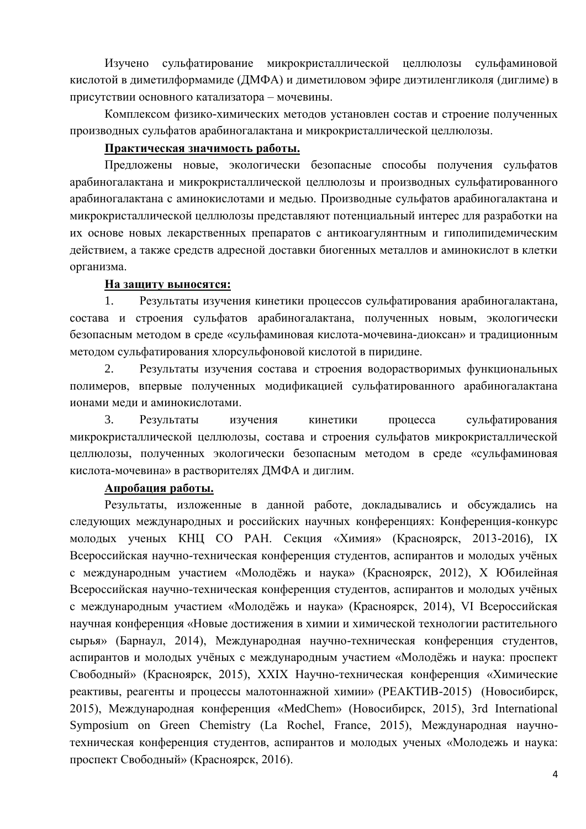Изучено сульфатирование микрокристаллической целлюлозы сульфаминовой кислотой в диметилформамиде (ДМФА) и диметиловом эфире диэтиленгликоля (диглиме) в присутствии основного катализатора - мочевины.

Комплексом физико-химических методов установлен состав и строение полученных производных сульфатов арабиногалактана и микрокристаллической целлюлозы.

#### Практическая значимость работы.

Предложены новые, экологически безопасные способы получения сульфатов арабиногалактана и микрокристаллической целлюлозы и производных сульфатированного арабиногалактана с аминокислотами и медью. Производные сульфатов арабиногалактана и микрокристаллической целлюлозы представляют потенциальный интерес для разработки на их основе новых лекарственных препаратов с антикоагулянтным и гиполипидемическим действием, а также средств адресной доставки биогенных металлов и аминокислот в клетки организма.

#### На защиту выносятся:

Результаты изучения кинетики процессов сульфатирования арабиногалактана, 1. состава и строения сульфатов арабиногалактана, полученных новым, экологически безопасным методом в среде «сульфаминовая кислота-мочевина-диоксан» и традиционным методом сульфатирования хлорсульфоновой кислотой в пиридине.

 $2.$ Результаты изучения состава и строения водорастворимых функциональных полимеров, впервые полученных модификацией сульфатированного арабиногалактана ионами меди и аминокислотами.

 $\overline{3}$ . Результаты изучения сульфатирования кинетики процесса микрокристаллической целлюлозы, состава и строения сульфатов микрокристаллической целлюлозы, полученных экологически безопасным методом в среде «сульфаминовая кислота-мочевина» в растворителях ДМФА и диглим.

## Апробация работы.

Результаты, изложенные в данной работе, докладывались и обсуждались на следующих международных и российских научных конференциях: Конференция-конкурс молодых ученых КНЦ СО РАН. Секция «Химия» (Красноярск, 2013-2016), IX Всероссийская научно-техническая конференция студентов, аспирантов и молодых учёных с международным участием «Молодёжь и наука» (Красноярск, 2012), Х Юбилейная Всероссийская научно-техническая конференция студентов, аспирантов и молодых учёных с международным участием «Молодёжь и наука» (Красноярск, 2014), VI Всероссийская научная конференция «Новые достижения в химии и химической технологии растительного сырья» (Барнаул, 2014), Международная научно-техническая конференция студентов, аспирантов и молодых учёных с международным участием «Молодёжь и наука: проспект Свободный» (Красноярск, 2015), XXIX Научно-техническая конференция «Химические реактивы, реагенты и процессы малотоннажной химии» (РЕАКТИВ-2015) (Новосибирск, 2015), Международная конференция «MedChem» (Новосибирск, 2015), 3rd International Symposium on Green Chemistry (La Rochel, France, 2015), Международная научнотехническая конференция студентов, аспирантов и молодых ученых «Молодежь и наука: проспект Свободный» (Красноярск, 2016).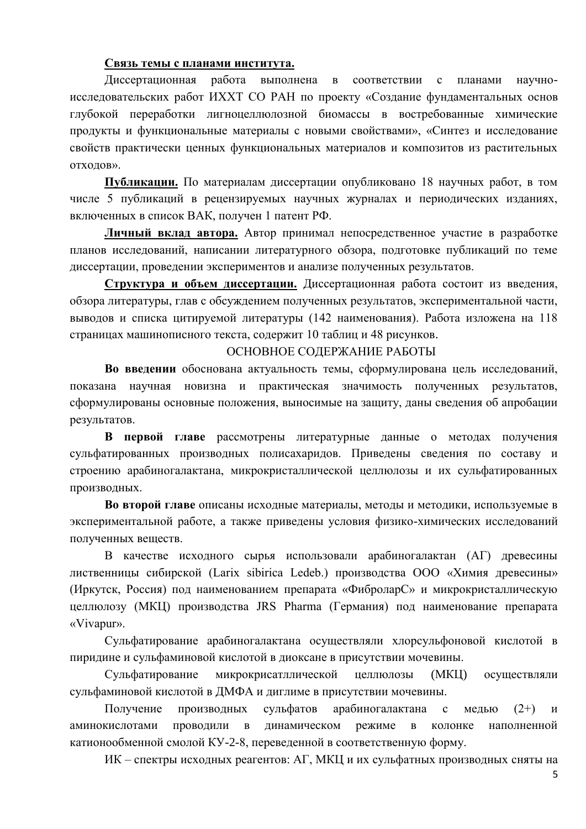#### Связь темы с планами института.

Диссертационная работа выполнена в соответствии с планами научноисследовательских работ ИХХТ СО РАН по проекту «Создание фундаментальных основ глубокой переработки лигноцеллюлозной биомассы в востребованные химические продукты и функциональные материалы с новыми свойствами», «Синтез и исследование свойств практически ценных функциональных материалов и композитов из растительных ОТХОДОВ».

Публикации. По материалам диссертации опубликовано 18 научных работ, в том числе 5 публикаций в рецензируемых научных журналах и периодических изданиях, включенных в список ВАК, получен 1 патент РФ.

Личный вклад автора. Автор принимал непосредственное участие в разработке планов исследований, написании литературного обзора, подготовке публикаций по теме диссертации, проведении экспериментов и анализе полученных результатов.

Структура и объем диссертации. Диссертационная работа состоит из введения, обзора литературы, глав с обсуждением полученных результатов, экспериментальной части, выводов и списка цитируемой литературы (142 наименования). Работа изложена на 118 страницах машинописного текста, содержит 10 таблиц и 48 рисунков.

#### ОСНОВНОЕ СОДЕРЖАНИЕ РАБОТЫ

Во введении обоснована актуальность темы, сформулирована цель исследований, показана научная новизна и практическая значимость полученных результатов, сформулированы основные положения, выносимые на защиту, даны сведения об апробации результатов.

В первой главе рассмотрены литературные данные о методах получения сульфатированных производных полисахаридов. Приведены сведения по составу и строению арабиногалактана, микрокристаллической целлюлозы и их сульфатированных производных.

Во второй главе описаны исходные материалы, методы и методики, используемые в экспериментальной работе, а также приведены условия физико-химических исследований полученных веществ.

В качестве исходного сырья использовали арабиногалактан (АГ) древесины лиственницы сибирской (Larix sibirica Ledeb.) производства ООО «Химия древесины» (Иркутск, Россия) под наименованием препарата «ФиброларС» и микрокристаллическую целлюлозу (МКЦ) производства JRS Pharma (Германия) под наименование препарата «Vivapur».

Сульфатирование арабиногалактана осуществляли хлорсульфоновой кислотой в пиридине и сульфаминовой кислотой в диоксане в присутствии мочевины.

Сульфатирование микрокрисатллической неллюлозы (MKII) осуществляли сульфаминовой кислотой в ДМФА и диглиме в присутствии мочевины.

Получение Производных сульфатов арабиногалактана  $\mathbf{c}$ медью  $(2+)$  $\overline{M}$ проводили в динамическом наполненной аминокислотами режиме в колонке катионообменной смолой КУ-2-8, переведенной в соответственную форму.

ИК - спектры исходных реагентов: АГ, МКЦ и их сульфатных производных сняты на

 $\overline{5}$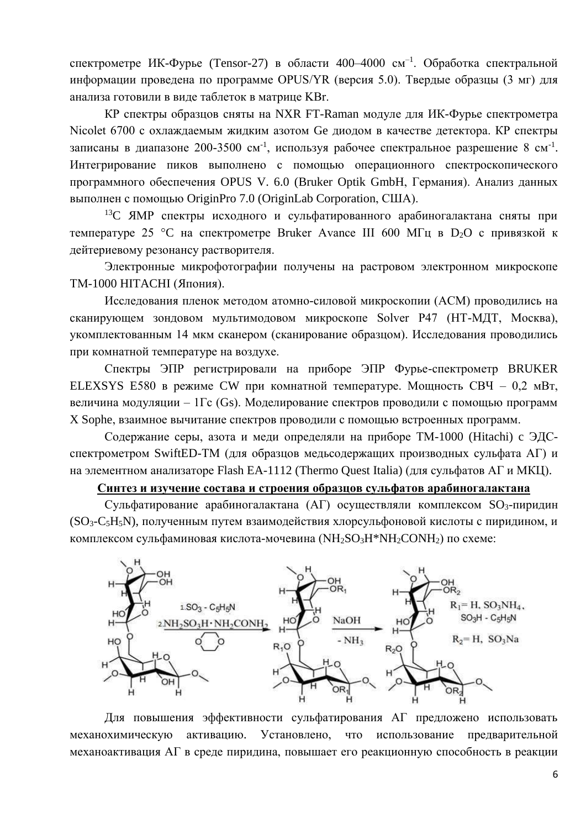спектрометре ИК-Фурье (Tensor-27) в области 400-4000 см<sup>-1</sup>. Обработка спектральной информации проведена по программе OPUS/YR (версия 5.0). Твердые образцы (3 мг) для анализа готовили в виде таблеток в матрице KBr.

КР спектры образцов сняты на NXR FT-Raman модуле для ИК-Фурье спектрометра Nicolet 6700 с охлаждаемым жидким азотом Ge диодом в качестве детектора. КР спектры записаны в диапазоне 200-3500 см<sup>-1</sup>, используя рабочее спектральное разрешение 8 см<sup>-1</sup>. Интегрирование пиков выполнено с помощью операционного спектроскопического программного обеспечения OPUS V. 6.0 (Bruker Optik GmbH, Германия). Анализ данных выполнен с помощью OriginPro 7.0 (OriginLab Corporation, CШA).

<sup>13</sup>С ЯМР спектры исходного и сульфатированного арабиногалактана сняты при температуре 25 °C на спектрометре Bruker Avance III 600 МГц в D<sub>2</sub>O с привязкой к дейтериевому резонансу растворителя.

Электронные микрофотографии получены на растровом электронном микроскопе ТМ-1000 НІТАСНІ (Япония).

Исследования пленок методом атомно-силовой микроскопии (АСМ) проводились на сканирующем зондовом мультимодовом микроскопе Solver P47 (НТ-МДТ, Москва), укомплектованным 14 мкм сканером (сканирование образцом). Исследования проводились при комнатной температуре на воздухе.

Спектры ЭПР регистрировали на приборе ЭПР Фурье-спектрометр BRUKER ELEXSYS E580 в режиме СW при комнатной температуре. Мощность СВЧ - 0.2 мВт, величина модуляции - 1Гс (Gs). Моделирование спектров проводили с помощью программ X Sophe, взаимное вычитание спектров проводили с помощью встроенных программ.

Содержание серы, азота и меди определяли на приборе ТМ-1000 (Hitachi) с ЭДСспектрометром SwiftED-TM (для образцов медьсодержащих производных сульфата AГ) и на элементном анализаторе Flash EA-1112 (Thermo Quest Italia) (для сульфатов АГ и МКЦ).

#### Синтез и изучение состава и строения образцов сульфатов арабиногалактана

Сульфатирование арабиногалактана (АГ) осуществляли комплексом SO<sub>3</sub>-пиридин (SO<sub>3</sub>-C<sub>5</sub>H<sub>5</sub>N), полученным путем взаимодействия хлорсульфоновой кислоты с пиридином, и комплексом сульфаминовая кислота-мочевина (NH<sub>2</sub>SO<sub>3</sub>H\*NH<sub>2</sub>CONH<sub>2</sub>) по схеме:



Для повышения эффективности сульфатирования АГ предложено использовать активацию. Установлено, что использование механохимическую предварительной механоактивация АГ в среде пиридина, повышает его реакционную способность в реакции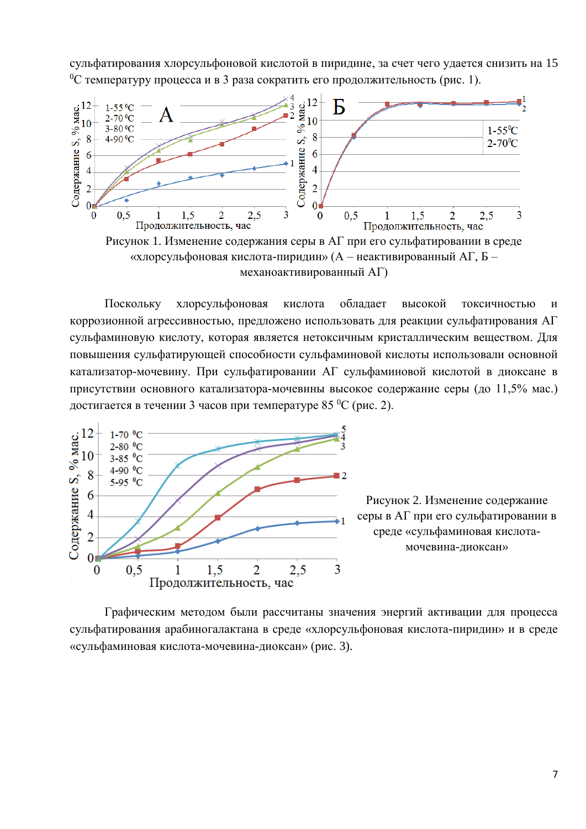сульфатирования хлорсульфоновой кислотой в пиридине, за счет чего удается снизить на 15 <sup>0</sup>С температуру процесса и в 3 раза сократить его продолжительность (рис. 1).



механоактивированный АГ)

Поскольку хлорсульфоновая обладает кислота высокой токсичностью  $\boldsymbol{\mathrm{M}}$ коррозионной агрессивностью, предложено использовать для реакции сульфатирования АГ сульфаминовую кислоту, которая является нетоксичным кристаллическим веществом. Для повышения сульфатирующей способности сульфаминовой кислоты использовали основной катализатор-мочевину. При сульфатировании АГ сульфаминовой кислотой в диоксане в присутствии основного катализатора-мочевины высокое содержание серы (до 11,5% мас.) достигается в течении 3 часов при температуре 85 °C (рис. 2).



Рисунок 2. Изменение содержание серы в АГ при его сульфатировании в среде «сульфаминовая кислотамочевина-диоксан»

Графическим методом были рассчитаны значения энергий активации для процесса сульфатирования арабиногалактана в среде «хлорсульфоновая кислота-пиридин» и в среде «сульфаминовая кислота-мочевина-диоксан» (рис. 3).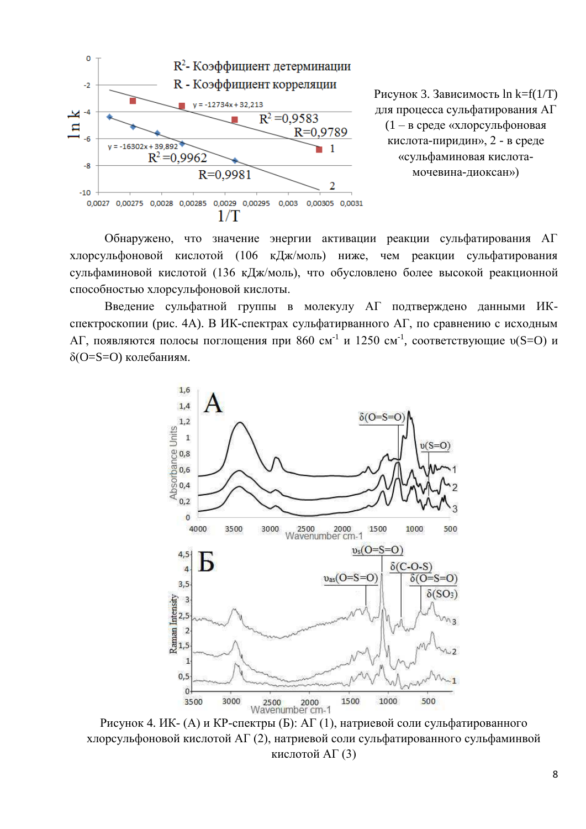

Рисунок 3. Зависимость  $\ln k = f(1/T)$ для процесса сульфатирования АГ (1 - в среде «хлорсульфоновая кислота-пиридин», 2 - в среде «сульфаминовая кислотамочевина-диоксан»)

Обнаружено, что значение энергии активации реакции сульфатирования АГ хлорсульфоновой кислотой (106 кДж/моль) ниже, чем реакции сульфатирования сульфаминовой кислотой (136 кДж/моль), что обусловлено более высокой реакционной способностью хлорсульфоновой кислоты.

Введение сульфатной группы в молекулу АГ подтверждено данными ИКспектроскопии (рис. 4А). В ИК-спектрах сульфатирванного АГ, по сравнению с исходным АГ, появляются полосы поглошения при 860 см<sup>-1</sup> и 1250 см<sup>-1</sup>, соответствующие  $v(S=O)$  и δ(O=S=O) колебаниям.



Рисунок 4. ИК- (А) и КР-спектры (Б): АГ (1), натриевой соли сульфатированного хлорсульфоновой кислотой АГ (2), натриевой соли сульфатированного сульфаминвой кислотой АГ (3)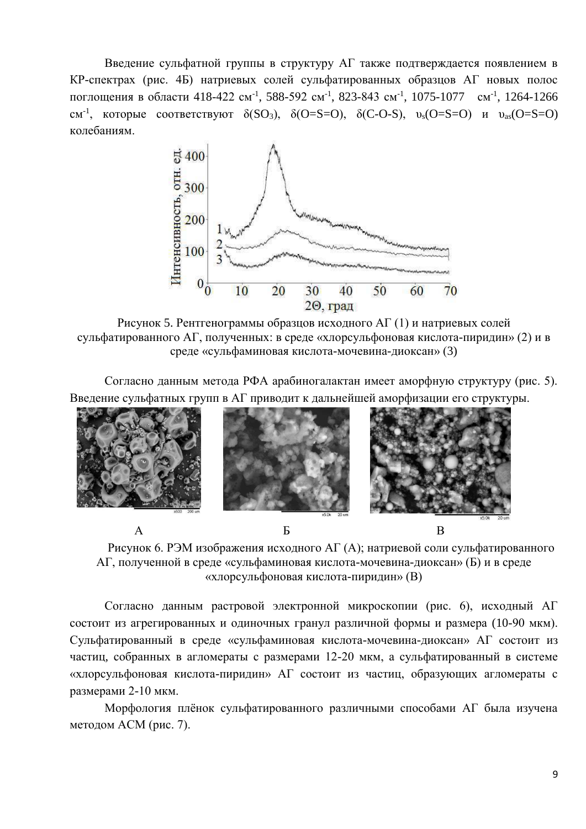Введение сульфатной группы в структуру АГ также подтверждается появлением в КР-спектрах (рис. 4Б) натриевых солей сульфатированных образцов АГ новых полос поглощения в области 418-422 см<sup>-1</sup>, 588-592 см<sup>-1</sup>, 823-843 см<sup>-1</sup>, 1075-1077 см<sup>-1</sup>, 1264-1266  $CM^{-1}$ , которые соответствуют  $\delta(SO_3)$ ,  $\delta(O=S=O)$ ,  $\delta(C-O-S)$ ,  $v_s(O=S=O)$  и  $v_{as}(O=S=O)$ колебаниям.



Рисунок 5. Рентгенограммы образцов исходного АГ (1) и натриевых солей сульфатированного АГ, полученных: в среде «хлорсульфоновая кислота-пиридин» (2) и в среде «сульфаминовая кислота-мочевина-диоксан» (3)

Согласно данным метода РФА арабиногалактан имеет аморфную структуру (рис. 5). Введение сульфатных групп в АГ приводит к дальнейшей аморфизации его структуры.



Рисунок 6. РЭМ изображения исходного АГ (А); натриевой соли сульфатированного АГ, полученной в среде «сульфаминовая кислота-мочевина-диоксан» (Б) и в среде «хлорсульфоновая кислота-пиридин» (В)

Согласно данным растровой электронной микроскопии (рис. 6), исходный АГ состоит из агрегированных и одиночных гранул различной формы и размера (10-90 мкм). Сульфатированный в среде «сульфаминовая кислота-мочевина-диоксан» АГ состоит из частиц, собранных в агломераты с размерами 12-20 мкм, а сульфатированный в системе «хлорсульфоновая кислота-пиридин» АГ состоит из частиц, образующих агломераты с размерами 2-10 мкм.

Морфология плёнок сульфатированного различными способами АГ была изучена методом АСМ (рис. 7).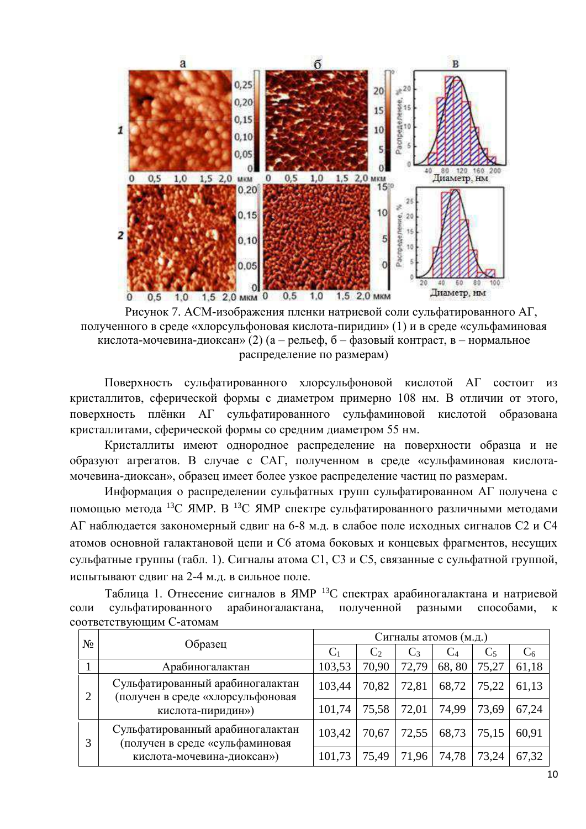

Рисунок 7. АСМ-изображения пленки натриевой соли сульфатированного АГ. полученного в среде «хлорсульфоновая кислота-пиридин» (1) и в среде «сульфаминовая кислота-мочевина-диоксан» (2) (а – рельеф, б – фазовый контраст, в – нормальное распределение по размерам)

Поверхность сульфатированного хлорсульфоновой кислотой АГ состоит из кристаллитов, сферической формы с диаметром примерно 108 нм. В отличии от этого, поверхность плёнки АГ сульфатированного сульфаминовой кислотой образована кристаллитами, сферической формы со средним диаметром 55 нм.

Кристаллиты имеют однородное распределение на поверхности образца и не образуют агрегатов. В случае с САГ, полученном в среде «сульфаминовая кислотамочевина-диоксан», образец имеет более узкое распределение частиц по размерам.

Информация о распределении сульфатных групп сульфатированном АГ получена с помощью метода <sup>13</sup>С ЯМР. В <sup>13</sup>С ЯМР спектре сульфатированного различными методами АГ наблюдается закономерный сдвиг на 6-8 м.д. в слабое поле исходных сигналов С2 и С4 атомов основной галактановой цепи и С6 атома боковых и концевых фрагментов, несущих сульфатные группы (табл. 1). Сигналы атома С1, С3 и С5, связанные с сульфатной группой, испытывают слвиг на 2-4 м.л. в сильное поле.

Таблица 1. Отнесение сигналов в ЯМР <sup>13</sup>С спектрах арабиногалактана и натриевой сульфатированного арабиногалактана, полученной соли разными способами,  $\mathbf{K}$ соответствующим С-атомам

| No. | Образец                                                                                           | Сигналы атомов (м.д.) |       |       |                |                |       |  |
|-----|---------------------------------------------------------------------------------------------------|-----------------------|-------|-------|----------------|----------------|-------|--|
|     |                                                                                                   | $C_1$                 | $C_2$ | $C_3$ | $\mathrm{C}_4$ | C <sub>5</sub> | $C_6$ |  |
|     | Арабиногалактан                                                                                   | 103,53                | 70,90 | 72,79 | 68,80          | 75,27          | 61,18 |  |
| 2   | Сульфатированный арабиногалактан<br>(получен в среде «хлорсульфоновая<br>кислота-пиридин»)        | 103,44                | 70,82 | 72,81 | 68,72          | 75,22          | 61,13 |  |
|     |                                                                                                   | 101,74                | 75,58 | 72,01 | 74,99          | 73,69          | 67,24 |  |
| 3   | Сульфатированный арабиногалактан<br>(получен в среде «сульфаминовая<br>кислота-мочевина-диоксан») | 103,42                | 70,67 | 72,55 | 68,73          | 75,15          | 60,91 |  |
|     |                                                                                                   | 101,73                | 75,49 | 71,96 | 74,78          | 73,24          | 67,32 |  |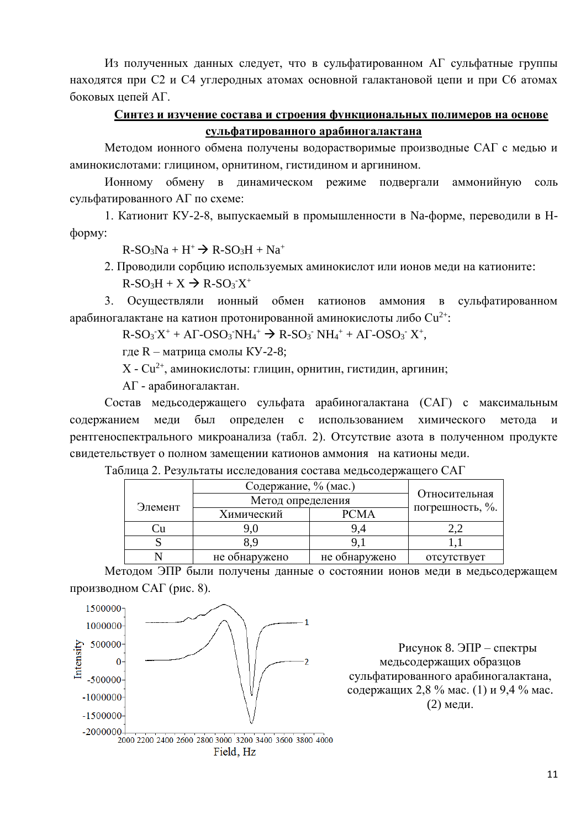Из полученных данных следует, что в сульфатированном АГ сульфатные группы находятся при С2 и С4 углеродных атомах основной галактановой цепи и при С6 атомах боковых цепей АГ.

## Синтез и изучение состава и строения функциональных полимеров на основе сульфатированного арабиногалактана

Методом ионного обмена получены водорастворимые производные САГ с медью и аминокислотами: глицином, орнитином, гистидином и аргинином.

Ионному обмену в динамическом режиме подвергали аммонийную соль сульфатированного АГ по схеме:

1. Катионит КУ-2-8, выпускаемый в промышленности в Na-форме, переводили в Нформу:

 $R-SO<sub>3</sub>Na + H<sup>+</sup> \rightarrow R-SO<sub>3</sub>H + Na<sup>+</sup>$ 

2. Проводили сорбцию используемых аминокислот или ионов меди на катионите:  $R-SO<sub>3</sub>H + X \rightarrow R-SO<sub>3</sub>X<sup>+</sup>$ 

3. Осуществляли ионный обмен катионов аммония сульфатированном  $\mathbf{B}$ арабиногалактане на катион протонированной аминокислоты либо  $Cu^{2+}$ :

 $R-SO<sub>3</sub> X<sup>+</sup> + A\Gamma-SO<sub>3</sub> NH<sub>4</sub><sup>+</sup> \rightarrow R-SO<sub>3</sub> NH<sub>4</sub><sup>+</sup> + A\Gamma-SO<sub>3</sub> X<sup>+</sup>,$ 

где R - матрица смолы КУ-2-8;

 $X - Cu^{2+}$ , аминокислоты: глицин, орнитин, гистидин, аргинин;

АГ - арабиногалактан.

Состав медьсодержащего сульфата арабиногалактана (САГ) с максимальным был определен с использованием содержанием меди химического метола  $\overline{M}$ рентгеноспектрального микроанализа (табл. 2). Отсутствие азота в полученном продукте свидетельствует о полном замещении катионов аммония на катионы меди.

|         | Содержание, % (мас.) |               |                 |  |
|---------|----------------------|---------------|-----------------|--|
|         | Метод определения    | Относительная |                 |  |
| Элемент | Химический           | PCMA          | погрешность, %. |  |
|         |                      |               |                 |  |
|         | 8.9                  |               |                 |  |
|         | не обнаружено        | не обнаружено | отсутствует     |  |

Таблица 2. Результаты исследования состава медьсодержащего САГ

Методом ЭПР были получены данные о состоянии ионов меди в медьсодержащем производном САГ (рис. 8).



Рисунок 8. ЭПР - спектры медьсодержащих образцов сульфатированного арабиногалактана, содержащих 2,8 % мас. (1) и 9,4 % мас.  $(2)$  мели.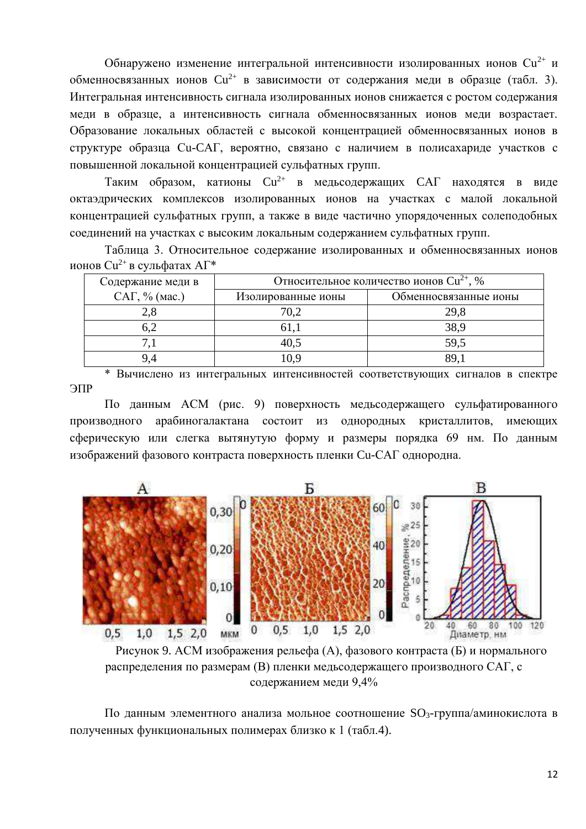Обнаружено изменение интегральной интенсивности изолированных ионов Cu<sup>2+</sup> и обменносвязанных ионов  $Cu^{2+}$  в зависимости от содержания меди в образце (табл. 3). Интегральная интенсивность сигнала изолированных ионов снижается с ростом содержания меди в образце, а интенсивность сигнала обменносвязанных ионов меди возрастает. Образование локальных областей с высокой концентрацией обменносвязанных ионов в структуре образца Си-САГ, вероятно, связано с наличием в полисахариде участков с повышенной локальной концентрацией сульфатных групп.

Таким образом, катионы  $Cu^{2+}$  в медьсодержащих САГ находятся в виде октаэдрических комплексов изолированных ионов на участках с малой локальной концентрацией сульфатных групп, а также в виде частично упорядоченных солеподобных соединений на участках с высоким локальным содержанием сульфатных групп.

Таблица 3. Относительное содержание изолированных и обменносвязанных ионов ионов Си<sup>2+</sup> в сульфатах АГ\*

| Содержание меди в | Относительное количество ионов Cu <sup>2+</sup> , % |                       |  |  |
|-------------------|-----------------------------------------------------|-----------------------|--|--|
| $CAT, %$ (мас.)   | Изолированные ионы                                  | Обменносвязанные ионы |  |  |
| 2,8               | 70,2                                                | 29,8                  |  |  |
| 6,2               |                                                     | 38,9                  |  |  |
|                   | 40,5                                                | 59,5                  |  |  |
|                   |                                                     | 89.                   |  |  |

\* Вычислено из интегральных интенсивностей соответствующих сигналов в спектре ЭПР

По данным АСМ (рис. 9) поверхность медьсодержащего сульфатированного арабиногалактана состоит из однородных кристаллитов, имеющих производного сферическую или слегка вытянутую форму и размеры порядка 69 нм. По данным изображений фазового контраста поверхность пленки Си-САГ однородна.



Рисунок 9. АСМ изображения рельефа (А), фазового контраста (Б) и нормального распределения по размерам (В) пленки медьсодержащего производного САГ, с содержанием меди 9,4%

По данным элементного анализа мольное соотношение SO<sub>3</sub>-группа/аминокислота в полученных функциональных полимерах близко к 1 (табл.4).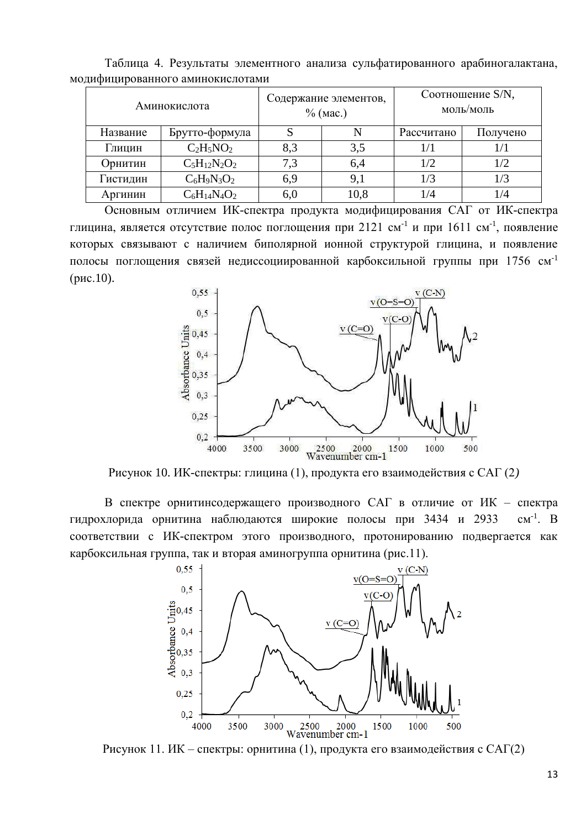| Аминокислота |                   | Содержание элементов,<br>$%$ (мас.) |      | Соотношение S/N,<br>моль/моль |          |  |  |
|--------------|-------------------|-------------------------------------|------|-------------------------------|----------|--|--|
| Название     | Брутто-формула    |                                     | N    | Рассчитано                    | Получено |  |  |
| Глицин       | $C_2H_5NO_2$      | 8,3                                 | 3,5  |                               |          |  |  |
| Орнитин      | $C_5H_{12}N_2O_2$ | 7,3                                 | 6,4  | 1/2                           | 1/2      |  |  |
| Гистидин     | $C_6H_9N_3O_2$    | 6,9                                 | 9,1  | 1/3                           | 1/3      |  |  |
| Аргинин      | $C_6H_{14}N_4O_2$ | 6,0                                 | 10,8 | 1/4                           | 1/4      |  |  |

Таблица 4. Результаты элементного анализа сульфатированного арабиногалактана, модифицированного аминокислотами

Основным отличием ИК-спектра продукта модифицирования САГ от ИК-спектра глицина, является отсутствие полос поглощения при 2121 см<sup>-1</sup> и при 1611 см<sup>-1</sup>, появление которых связывают с наличием биполярной ионной структурой глицина, и появление полосы поглощения связей недиссоциированной карбоксильной группы при 1756 см<sup>-1</sup>  $(pnc.10)$ .



Рисунок 10. ИК-спектры: глицина (1), продукта его взаимодействия с САГ (2)

В спектре орнитинсодержащего производного САГ в отличие от ИК - спектра гидрохлорида орнитина наблюдаются широкие полосы при 3434 и 2933  $CM^{-1}$ . B соответствии с ИК-спектром этого производного, протонированию подвергается как карбоксильная группа, так и вторая аминогруппа орнитина (рис.11).



Рисунок 11. ИК – спектры: орнитина (1), продукта его взаимодействия с САГ(2)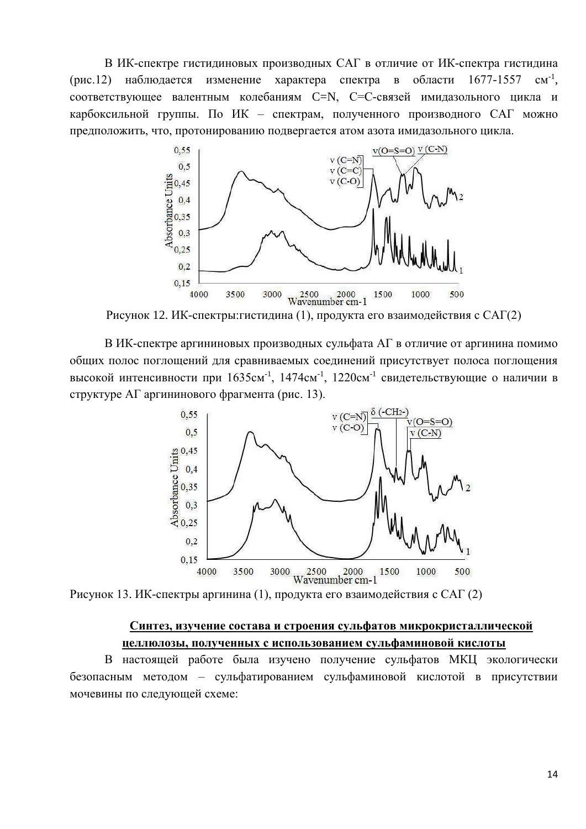В ИК-спектре гистидиновых производных САГ в отличие от ИК-спектра гистидина (рис.12) наблюдается изменение характера спектра в области  $1677 - 1557$  cm<sup>-1</sup>, соответствующее валентным колебаниям С=N, С=С-связей имидазольного цикла и карбоксильной группы. По ИК - спектрам, полученного производного САГ можно предположить, что, протонированию подвергается атом азота имидазольного цикла.



Рисунок 12. ИК-спектры:гистидина (1), продукта его взаимодействия с САГ(2)

В ИК-спектре аргининовых производных сульфата АГ в отличие от аргинина помимо общих полос поглощений для сравниваемых соединений присутствует полоса поглощения высокой интенсивности при 1635см<sup>-1</sup>, 1474см<sup>-1</sup>, 1220см<sup>-1</sup> свидетельствующие о наличии в структуре АГ аргининового фрагмента (рис. 13).



Рисунок 13. ИК-спектры аргинина (1), продукта его взаимодействия с САГ (2)

## Синтез, изучение состава и строения сульфатов микрокристаллической целлюлозы, полученных с использованием сульфаминовой кислоты

В настоящей работе была изучено получение сульфатов МКЦ экологически безопасным методом - сульфатированием сульфаминовой кислотой в присутствии мочевины по следующей схеме: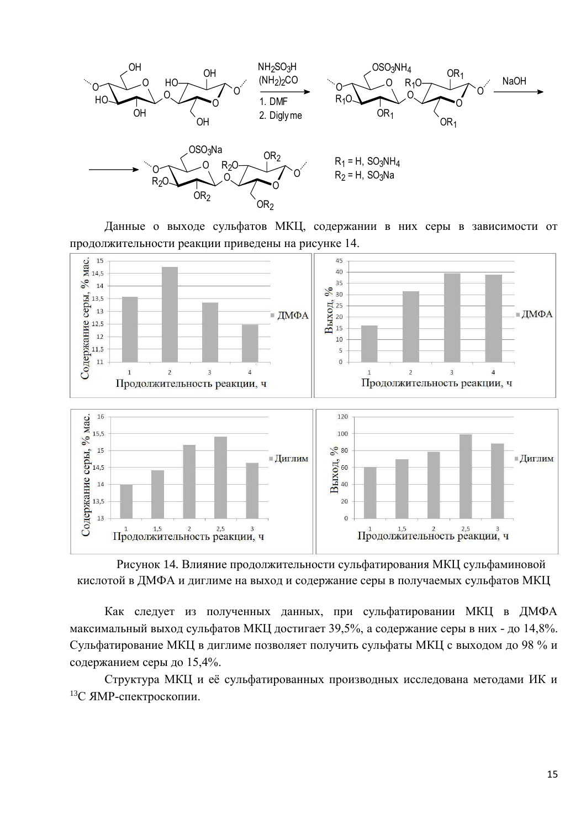

Данные о выходе сульфатов МКЦ, содержании в них серы в зависимости от продолжительности реакции приведены на рисунке 14.



Рисунок 14. Влияние продолжительности сульфатирования МКЦ сульфаминовой кислотой в ДМФА и диглиме на выход и содержание серы в получаемых сульфатов МКЦ

Как следует из полученных данных, при сульфатировании МКЦ в ДМФА максимальный выход сульфатов МКЦ достигает 39,5%, а содержание серы в них - до 14,8%. Сульфатирование МКЦ в диглиме позволяет получить сульфаты МКЦ с выходом до 98 % и содержанием серы до 15,4%.

Структура МКЦ и её сульфатированных производных исследована методами ИК и 13С ЯМР-спектроскопии.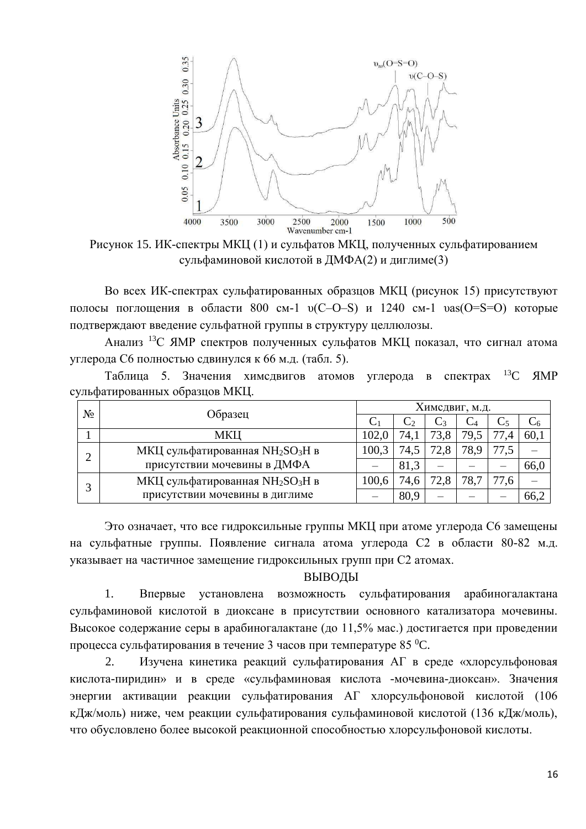

Рисунок 15. ИК-спектры МКЦ (1) и сульфатов МКЦ, полученных сульфатированием сульфаминовой кислотой в ДМФА(2) и диглиме(3)

Во всех ИК-спектрах сульфатированных образцов МКЦ (рисунок 15) присутствуют полосы поглощения в области 800 см-1  $v(C-O-S)$  и 1240 см-1  $vas(O=S=O)$  которые подтверждают введение сульфатной группы в структуру целлюлозы.

Анализ <sup>13</sup>С ЯМР спектров полученных сульфатов МКЦ показал, что сигнал атома углерода С6 полностью сдвинулся к 66 м.д. (табл. 5).

Таблица 5. Значения химсдвигов атомов углерода в спектрах <sup>13</sup>С ЯМР сульфатированных образцов МКЦ.

| No | Образец                                                  | Химсдвиг, м.д. |      |                 |      |      |      |  |
|----|----------------------------------------------------------|----------------|------|-----------------|------|------|------|--|
|    |                                                          |                |      | $\mathcal{C}$ 3 |      |      |      |  |
|    | МКЦ                                                      | 102,0          | 74,  | 73,8            | 79.5 | 77,4 | 60,1 |  |
|    | МКЦ сульфатированная NH <sub>2</sub> SO <sub>3</sub> H в |                | 74,5 | 72.8            | 78,9 |      |      |  |
|    | присутствии мочевины в ДМФА                              |                | 81,3 |                 |      |      | 66,0 |  |
|    | МКЦ сульфатированная NH <sub>2</sub> SO <sub>3</sub> H в | 100,6          | 74,6 | 72,8            | 78.7 | 77,6 |      |  |
|    | присутствии мочевины в диглиме                           |                | 80,9 |                 |      |      | 66,2 |  |

Это означает, что все гидроксильные группы МКЦ при атоме углерода С6 замещены на сульфатные группы. Появление сигнала атома углерода С2 в области 80-82 м.д. указывает на частичное замещение гидроксильных групп при С2 атомах.

#### ВЫВОДЫ

1. Впервые установлена возможность сульфатирования арабиногалактана сульфаминовой кислотой в диоксане в присутствии основного катализатора мочевины. Высокое содержание серы в арабиногалактане (до 11,5% мас.) достигается при проведении процесса сульфатирования в течение 3 часов при температуре 85 °С.

 $\overline{2}$ . Изучена кинетика реакций сульфатирования АГ в среде «хлорсульфоновая кислота-пиридин» и в среде «сульфаминовая кислота -мочевина-диоксан». Значения энергии активации реакции сульфатирования АГ хлорсульфоновой кислотой (106 кДж/моль) ниже, чем реакции сульфатирования сульфаминовой кислотой (136 кДж/моль), что обусловлено более высокой реакционной способностью хлорсульфоновой кислоты.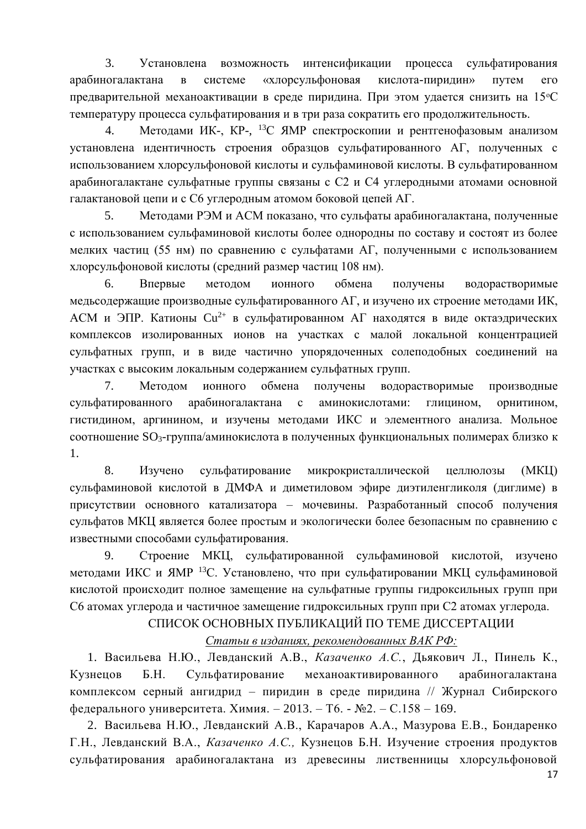$3.$ Установлена возможность интенсификации процесса сульфатирования арабиногалактана  $\bf{B}$ системе «хлорсульфоновая кислота-пиридин» путем  $er$ предварительной механоактивации в среде пиридина. При этом удается снизить на 15°С температуру процесса сульфатирования и в три раза сократить его продолжительность.

Методами ИК-, КР-, <sup>13</sup>С ЯМР спектроскопии и рентгенофазовым анализом  $\overline{4}$ . установлена идентичность строения образцов сульфатированного АГ, полученных с использованием хлорсульфоновой кислоты и сульфаминовой кислоты. В сульфатированном арабиногалактане сульфатные группы связаны с С2 и С4 углеродными атомами основной галактановой цепи и с С6 углеродным атомом боковой цепей АГ.

Методами РЭМ и АСМ показано, что сульфаты арабиногалактана, полученные  $5<sub>1</sub>$ с использованием сульфаминовой кислоты более однородны по составу и состоят из более мелких частиц (55 нм) по сравнению с сульфатами АГ, полученными с использованием хлорсульфоновой кислоты (средний размер частиц 108 нм).

6. Впервые методом ионного обмена получены водорастворимые медьсодержащие производные сульфатированного АГ, и изучено их строение методами ИК, АСМ и ЭПР. Катионы  $Cu^{2+}$  в сульфатированном АГ находятся в виде октаэдрических комплексов изолированных ионов на участках с малой локальной концентрацией сульфатных групп, и в виде частично упорядоченных солеподобных соединений на участках с высоким локальным содержанием сульфатных групп.

7. Методом ионного обмена получены водорастворимые производные сульфатированного арабиногалактана  $\mathbf{c}$ аминокислотами: глицином, орнитином, гистидином, аргинином, и изучены методами ИКС и элементного анализа. Мольное соотношение SO<sub>3</sub>-группа/аминокислота в полученных функциональных полимерах близко к 1.

 $8<sup>1</sup>$ Изучено микрокристаллической сульфатирование целлюлозы  $(MKII)$ сульфаминовой кислотой в ДМФА и диметиловом эфире диэтиленгликоля (диглиме) в присутствии основного катализатора - мочевины. Разработанный способ получения сульфатов МКЦ является более простым и экологически более безопасным по сравнению с известными способами сульфатирования.

Строение МКЦ, сульфатированной сульфаминовой кислотой, изучено 9. методами ИКС и ЯМР <sup>13</sup>С. Установлено, что при сульфатировании МКЦ сульфаминовой кислотой происходит полное замещение на сульфатные группы гидроксильных групп при С6 атомах углерода и частичное замещение гидроксильных групп при С2 атомах углерода.

## СПИСОК ОСНОВНЫХ ПУБЛИКАЦИЙ ПО ТЕМЕ ДИССЕРТАЦИИ

## Статьи в изданиях, рекомендованных ВАК РФ:

1. Васильева Н.Ю., Левданский А.В., Казаченко А.С., Дьякович Л., Пинель К., Сульфатирование механоактивированного Кузненов  $E.H.$ арабиногалактана комплексом серный ангидрид - пиридин в среде пиридина // Журнал Сибирского федерального университета. Химия. - 2013. - Т6. - №2. - С.158 - 169.

2. Васильева Н.Ю., Левданский А.В., Карачаров А.А., Мазурова Е.В., Бондаренко Г.Н., Левданский В.А., Казаченко А.С., Кузнецов Б.Н. Изучение строения продуктов сульфатирования арабиногалактана из древесины лиственницы хлорсульфоновой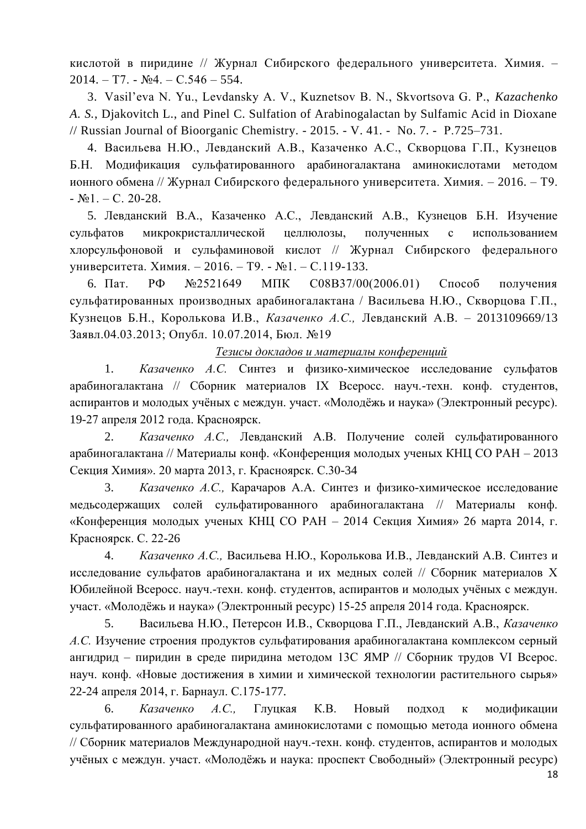кислотой в пиридине // Журнал Сибирского федерального университета. Химия. - $2014. - T7. - N<sub>2</sub>4. - C.546 - 554.$ 

3. Vasil'eva N. Yu., Levdansky A. V., Kuznetsov B. N., Skvortsova G. P., Kazachenko A. S., Diakovitch L., and Pinel C. Sulfation of Arabinogalactan by Sulfamic Acid in Dioxane // Russian Journal of Bioorganic Chemistry. - 2015. - V. 41. - No. 7. - P.725–731.

4. Васильева Н.Ю., Левданский А.В., Казаченко А.С., Скворцова Г.П., Кузнецов Б.Н. Модификация сульфатированного арабиногалактана аминокислотами методом ионного обмена // Журнал Сибирского федерального университета. Химия. - 2016. - Т9.  $-S_21. - C. 20-28.$ 

5. Левданский В.А., Казаченко А.С., Левданский А.В., Кузнецов Б.Н. Изучение сульфатов микрокристаллической целлюлозы. полученных  $\mathbf{c}$ использованием хлорсульфоновой и сульфаминовой кислот // Журнал Сибирского федерального университета. Химия. - 2016. - Т9. - №1. - С.119-133.

 $P\Phi$ 6. Пат.  $N<sub>2</sub>521649$ МПК  $CO8B37/00(2006.01)$ Способ получения сульфатированных производных арабиногалактана / Васильева Н.Ю., Скворцова Г.П., Кузнецов Б.Н., Королькова И.В., Казаченко А.С., Левданский А.В. - 2013109669/13 Заявл.04.03.2013; Опубл. 10.07.2014, Бюл. №19

Тезисы докладов и материалы конференций

 $1.$ Казаченко А.С. Синтез и физико-химическое исследование сульфатов арабиногалактана // Сборник материалов IX Всеросс. науч.-техн. конф. студентов, аспирантов и молодых учёных с междун. участ. «Молодёжь и наука» (Электронный ресурс). 19-27 апреля 2012 года. Красноярск.

 $2.$ Казаченко А.С., Левданский А.В. Получение солей сульфатированного арабиногалактана // Материалы конф. «Конференция молодых ученых КНЦ СО РАН - 2013 Секция Химия». 20 марта 2013, г. Красноярск. С.30-34

 $3.$ Казаченко А.С., Карачаров А.А. Синтез и физико-химическое исследование медьсодержащих солей сульфатированного арабиногалактана // Материалы конф. «Конференция молодых ученых КНЦ СО РАН - 2014 Секция Химия» 26 марта 2014, г. Красноярск. С. 22-26

 $\overline{4}$ . Казаченко А.С., Васильева Н.Ю., Королькова И.В., Левданский А.В. Синтез и исследование сульфатов арабиногалактана и их медных солей // Сборник материалов Х Юбилейной Всеросс. науч.-техн. конф. студентов, аспирантов и молодых учёных с междун. участ. «Молодёжь и наука» (Электронный ресурс) 15-25 апреля 2014 года. Красноярск.

Васильева Н.Ю., Петерсон И.В., Скворцова Г.П., Левданский А.В., Казаченко  $5<sub>1</sub>$ А.С. Изучение строения продуктов сульфатирования арабиногалактана комплексом серный ангидрид – пиридин в среде пиридина методом 13С ЯМР // Сборник трудов VI Всерос. науч. конф. «Новые достижения в химии и химической технологии растительного сырья» 22-24 апреля 2014, г. Барнаул. С.175-177.

Казаченко  $A.C.,$ 6. Глуцкая  $K.B.$ Новый подход  $\mathbf{K}$ модификации сульфатированного арабиногалактана аминокислотами с помощью метода ионного обмена // Сборник материалов Международной науч.-техн. конф. студентов, аспирантов и молодых учёных с междун. участ. «Молодёжь и наука: проспект Свободный» (Электронный ресурс)